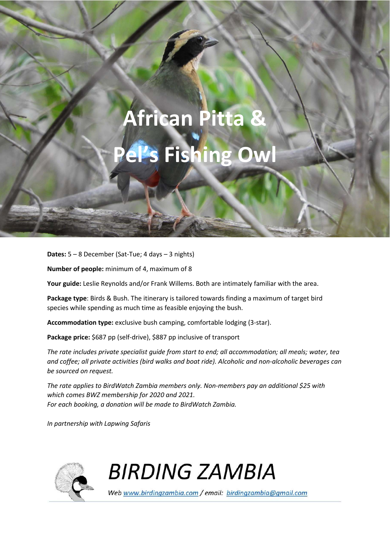# **African Pitta & Pel's Fishing Owl**

BIRDING ZAMBIA – AFRICAN PITTA – AFRICAN PITTA – AFRICAN PITTA – AFRICAN PITTA – AFRICAN PITTA – AFRICAN PITTA

**Dates:** 5 – 8 December (Sat-Tue; 4 days – 3 nights)

**Number of people:** minimum of 4, maximum of 8

**Your guide:** Leslie Reynolds and/or Frank Willems. Both are intimately familiar with the area.

**Package type**: Birds & Bush. The itinerary is tailored towards finding a maximum of target bird species while spending as much time as feasible enjoying the bush.

**Accommodation type:** exclusive bush camping, comfortable lodging (3-star).

Package price: \$687 pp (self-drive), \$887 pp inclusive of transport

*The rate includes private specialist guide from start to end; all accommodation; all meals; water, tea and coffee; all private activities (bird walks and boat ride). Alcoholic and non-alcoholic beverages can be sourced on request.* 

*The rate applies to BirdWatch Zambia members only. Non-members pay an additional \$25 with which comes BWZ membership for 2020 and 2021. For each booking, a donation will be made to BirdWatch Zambia.* 

*In partnership with Lapwing Safaris* 



**BIRDING ZAMBIA** 

Web www.birdingzambia.com / email: birdingzambia@gmail.com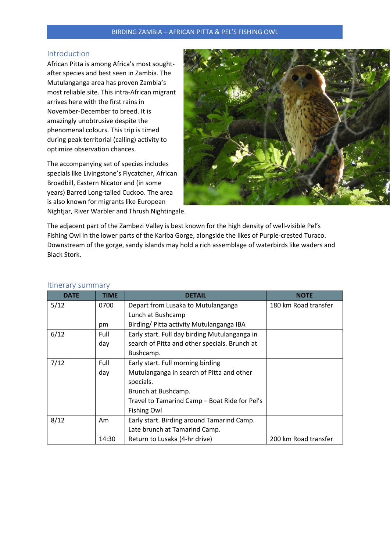## BIRDING ZAMBIA – AFRICAN PITTA & PEL'S FISHING OWL

## Introduction

African Pitta is among Africa's most soughtafter species and best seen in Zambia. The Mutulanganga area has proven Zambia's most reliable site. This intra-African migrant arrives here with the first rains in November-December to breed. It is amazingly unobtrusive despite the phenomenal colours. This trip is timed during peak territorial (calling) activity to optimize observation chances.

The accompanying set of species includes specials like Livingstone's Flycatcher, African Broadbill, Eastern Nicator and (in some years) Barred Long-tailed Cuckoo. The area is also known for migrants like European Nightjar, River Warbler and Thrush Nightingale.



The adjacent part of the Zambezi Valley is best known for the high density of well-visible Pel's Fishing Owl in the lower parts of the Kariba Gorge, alongside the likes of Purple-crested Turaco. Downstream of the gorge, sandy islands may hold a rich assemblage of waterbirds like waders and Black Stork.

| <b>DATE</b> | <b>TIME</b>                                           | <b>DETAIL</b>                                 | <b>NOTE</b>          |
|-------------|-------------------------------------------------------|-----------------------------------------------|----------------------|
| 5/12        | 0700                                                  | Depart from Lusaka to Mutulanganga            | 180 km Road transfer |
|             |                                                       | Lunch at Bushcamp                             |                      |
|             | pm                                                    | Birding/ Pitta activity Mutulanganga IBA      |                      |
| 6/12        | Early start. Full day birding Mutulanganga in<br>Full |                                               |                      |
|             | day                                                   | search of Pitta and other specials. Brunch at |                      |
|             |                                                       | Bushcamp.                                     |                      |
| 7/12        | Full                                                  | Early start. Full morning birding             |                      |
|             | day                                                   | Mutulanganga in search of Pitta and other     |                      |
|             |                                                       | specials.                                     |                      |
|             |                                                       | Brunch at Bushcamp.                           |                      |
|             |                                                       | Travel to Tamarind Camp - Boat Ride for Pel's |                      |
|             |                                                       | <b>Fishing Owl</b>                            |                      |
| 8/12        | Am                                                    | Early start. Birding around Tamarind Camp.    |                      |
|             |                                                       | Late brunch at Tamarind Camp.                 |                      |
|             | 14:30                                                 | Return to Lusaka (4-hr drive)                 | 200 km Road transfer |

#### Itinerary summary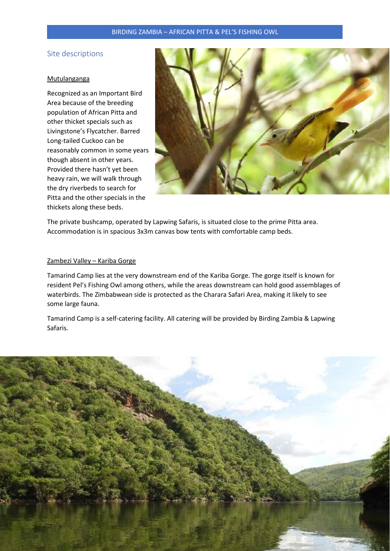## BIRDING ZAMBIA – AFRICAN PITTA & PEL'S FISHING OWL

## Site descriptions

#### Mutulanganga

Recognized as an Important Bird Area because of the breeding population of African Pitta and other thicket specials such as Livingstone's Flycatcher. Barred Long-tailed Cuckoo can be reasonably common in some years though absent in other years. Provided there hasn't yet been heavy rain, we will walk through the dry riverbeds to search for Pitta and the other specials in the thickets along these beds.



The private bushcamp, operated by Lapwing Safaris, is situated close to the prime Pitta area. Accommodation is in spacious 3x3m canvas bow tents with comfortable camp beds.

#### Zambezi Valley – Kariba Gorge

Tamarind Camp lies at the very downstream end of the Kariba Gorge. The gorge itself is known for resident Pel's Fishing Owl among others, while the areas downstream can hold good assemblages of waterbirds. The Zimbabwean side is protected as the Charara Safari Area, making it likely to see some large fauna.

Tamarind Camp is a self-catering facility. All catering will be provided by Birding Zambia & Lapwing Safaris.